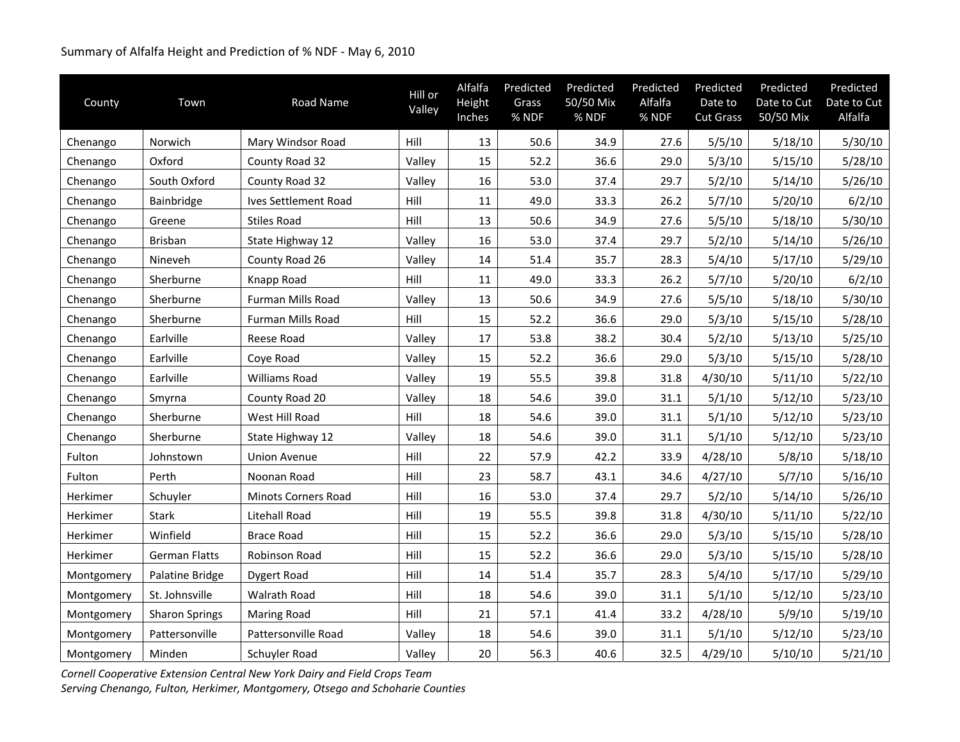## Summary of Alfalfa Height and Prediction of % NDF ‐ May 6, 2010

| County     | Town                  | Road Name            | Hill or<br>Valley | Alfalfa<br>Height<br>Inches | Predicted<br>Grass<br>% NDF | Predicted<br>50/50 Mix<br>% NDF | Predicted<br>Alfalfa<br>% NDF | Predicted<br>Date to<br><b>Cut Grass</b> | Predicted<br>Date to Cut<br>50/50 Mix | Predicted<br>Date to Cut<br>Alfalfa |
|------------|-----------------------|----------------------|-------------------|-----------------------------|-----------------------------|---------------------------------|-------------------------------|------------------------------------------|---------------------------------------|-------------------------------------|
| Chenango   | Norwich               | Mary Windsor Road    | Hill              | 13                          | 50.6                        | 34.9                            | 27.6                          | 5/5/10                                   | 5/18/10                               | 5/30/10                             |
| Chenango   | Oxford                | County Road 32       | Valley            | 15                          | 52.2                        | 36.6                            | 29.0                          | 5/3/10                                   | 5/15/10                               | 5/28/10                             |
| Chenango   | South Oxford          | County Road 32       | Valley            | 16                          | 53.0                        | 37.4                            | 29.7                          | 5/2/10                                   | 5/14/10                               | 5/26/10                             |
| Chenango   | Bainbridge            | Ives Settlement Road | Hill              | 11                          | 49.0                        | 33.3                            | 26.2                          | 5/7/10                                   | 5/20/10                               | 6/2/10                              |
| Chenango   | Greene                | <b>Stiles Road</b>   | Hill              | 13                          | 50.6                        | 34.9                            | 27.6                          | 5/5/10                                   | 5/18/10                               | 5/30/10                             |
| Chenango   | <b>Brisban</b>        | State Highway 12     | Valley            | 16                          | 53.0                        | 37.4                            | 29.7                          | 5/2/10                                   | 5/14/10                               | 5/26/10                             |
| Chenango   | Nineveh               | County Road 26       | Valley            | 14                          | 51.4                        | 35.7                            | 28.3                          | 5/4/10                                   | 5/17/10                               | 5/29/10                             |
| Chenango   | Sherburne             | Knapp Road           | Hill              | 11                          | 49.0                        | 33.3                            | 26.2                          | 5/7/10                                   | 5/20/10                               | 6/2/10                              |
| Chenango   | Sherburne             | Furman Mills Road    | Valley            | 13                          | 50.6                        | 34.9                            | 27.6                          | 5/5/10                                   | 5/18/10                               | 5/30/10                             |
| Chenango   | Sherburne             | Furman Mills Road    | Hill              | 15                          | 52.2                        | 36.6                            | 29.0                          | 5/3/10                                   | 5/15/10                               | 5/28/10                             |
| Chenango   | Earlville             | Reese Road           | Valley            | 17                          | 53.8                        | 38.2                            | 30.4                          | 5/2/10                                   | 5/13/10                               | 5/25/10                             |
| Chenango   | Earlville             | Coye Road            | Valley            | 15                          | 52.2                        | 36.6                            | 29.0                          | 5/3/10                                   | 5/15/10                               | 5/28/10                             |
| Chenango   | Earlville             | Williams Road        | Valley            | 19                          | 55.5                        | 39.8                            | 31.8                          | 4/30/10                                  | 5/11/10                               | 5/22/10                             |
| Chenango   | Smyrna                | County Road 20       | Valley            | 18                          | 54.6                        | 39.0                            | 31.1                          | 5/1/10                                   | 5/12/10                               | 5/23/10                             |
| Chenango   | Sherburne             | West Hill Road       | Hill              | 18                          | 54.6                        | 39.0                            | 31.1                          | 5/1/10                                   | 5/12/10                               | 5/23/10                             |
| Chenango   | Sherburne             | State Highway 12     | Valley            | 18                          | 54.6                        | 39.0                            | 31.1                          | 5/1/10                                   | 5/12/10                               | 5/23/10                             |
| Fulton     | Johnstown             | <b>Union Avenue</b>  | Hill              | 22                          | 57.9                        | 42.2                            | 33.9                          | 4/28/10                                  | 5/8/10                                | 5/18/10                             |
| Fulton     | Perth                 | Noonan Road          | Hill              | 23                          | 58.7                        | 43.1                            | 34.6                          | 4/27/10                                  | 5/7/10                                | 5/16/10                             |
| Herkimer   | Schuyler              | Minots Corners Road  | Hill              | 16                          | 53.0                        | 37.4                            | 29.7                          | 5/2/10                                   | 5/14/10                               | 5/26/10                             |
| Herkimer   | <b>Stark</b>          | <b>Litehall Road</b> | Hill              | 19                          | 55.5                        | 39.8                            | 31.8                          | 4/30/10                                  | 5/11/10                               | 5/22/10                             |
| Herkimer   | Winfield              | <b>Brace Road</b>    | Hill              | 15                          | 52.2                        | 36.6                            | 29.0                          | 5/3/10                                   | 5/15/10                               | 5/28/10                             |
| Herkimer   | <b>German Flatts</b>  | Robinson Road        | Hill              | 15                          | 52.2                        | 36.6                            | 29.0                          | 5/3/10                                   | 5/15/10                               | 5/28/10                             |
| Montgomery | Palatine Bridge       | <b>Dygert Road</b>   | Hill              | 14                          | 51.4                        | 35.7                            | 28.3                          | 5/4/10                                   | 5/17/10                               | 5/29/10                             |
| Montgomery | St. Johnsville        | Walrath Road         | Hill              | 18                          | 54.6                        | 39.0                            | 31.1                          | 5/1/10                                   | 5/12/10                               | 5/23/10                             |
| Montgomery | <b>Sharon Springs</b> | <b>Maring Road</b>   | Hill              | 21                          | 57.1                        | 41.4                            | 33.2                          | 4/28/10                                  | 5/9/10                                | 5/19/10                             |
| Montgomery | Pattersonville        | Pattersonville Road  | Valley            | 18                          | 54.6                        | 39.0                            | 31.1                          | 5/1/10                                   | 5/12/10                               | 5/23/10                             |
| Montgomery | Minden                | Schuyler Road        | Valley            | 20                          | 56.3                        | 40.6                            | 32.5                          | 4/29/10                                  | 5/10/10                               | 5/21/10                             |

*Cornell Cooperative Extension Central New York Dairy and Field Crops Team Serving Chenango, Fulton, Herkimer, Montgomery, Otsego and Schoharie Counties*